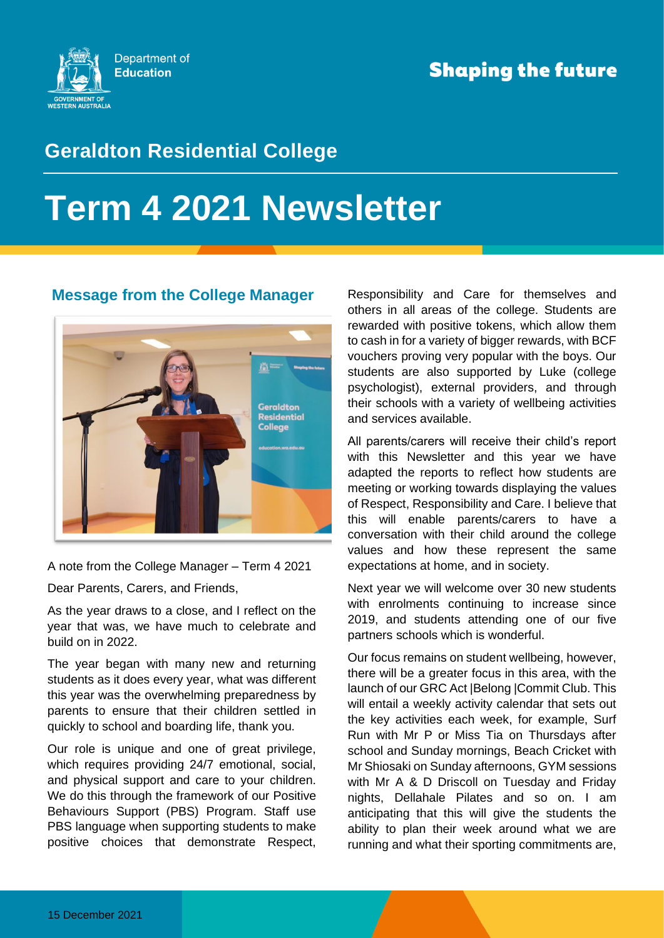

## **Geraldton Residential College**

# **Term 4 2021 Newsletter**

#### **Message from the College Manager**



A note from the College Manager – Term 4 2021

Dear Parents, Carers, and Friends,

As the year draws to a close, and I reflect on the year that was, we have much to celebrate and build on in 2022.

The year began with many new and returning students as it does every year, what was different this year was the overwhelming preparedness by parents to ensure that their children settled in quickly to school and boarding life, thank you.

Our role is unique and one of great privilege, which requires providing 24/7 emotional, social, and physical support and care to your children. We do this through the framework of our Positive Behaviours Support (PBS) Program. Staff use PBS language when supporting students to make positive choices that demonstrate Respect, Responsibility and Care for themselves and others in all areas of the college. Students are rewarded with positive tokens, which allow them to cash in for a variety of bigger rewards, with BCF vouchers proving very popular with the boys. Our students are also supported by Luke (college psychologist), external providers, and through their schools with a variety of wellbeing activities and services available.

All parents/carers will receive their child's report with this Newsletter and this year we have adapted the reports to reflect how students are meeting or working towards displaying the values of Respect, Responsibility and Care. I believe that this will enable parents/carers to have a conversation with their child around the college values and how these represent the same expectations at home, and in society.

Next year we will welcome over 30 new students with enrolments continuing to increase since 2019, and students attending one of our five partners schools which is wonderful.

Our focus remains on student wellbeing, however, there will be a greater focus in this area, with the launch of our GRC Act |Belong |Commit Club. This will entail a weekly activity calendar that sets out the key activities each week, for example, Surf Run with Mr P or Miss Tia on Thursdays after school and Sunday mornings, Beach Cricket with Mr Shiosaki on Sunday afternoons, GYM sessions with Mr A & D Driscoll on Tuesday and Friday nights, Dellahale Pilates and so on. I am anticipating that this will give the students the ability to plan their week around what we are running and what their sporting commitments are,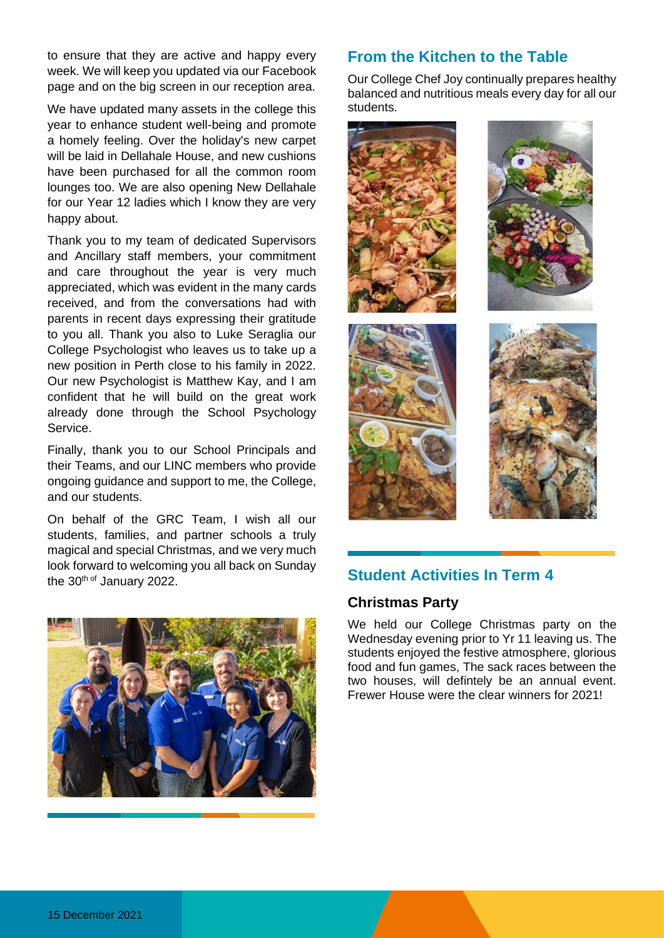to ensure that they are active and happy every week. We will keep you updated via our Facebook page and on the big screen in our reception area.

We have updated many assets in the college this year to enhance student well-being and promote a homely feeling. Over the holiday's new carpet will be laid in Dellahale House, and new cushions have been purchased for all the common room lounges too. We are also opening New Dellahale for our Year 12 ladies which I know they are very happy about.

Thank you to my team of dedicated Supervisors and Ancillary staff members, your commitment and care throughout the year is very much appreciated, which was evident in the many cards received, and from the conversations had with parents in recent days expressing their gratitude to you all. Thank you also to Luke Seraglia our College Psychologist who leaves us to take up a new position in Perth close to his family in 2022. Our new Psychologist is Matthew Kay, and I am confident that he will build on the great work already done through the School Psychology Service.

Finally, thank you to our School Principals and their Teams, and our LINC members who provide ongoing guidance and support to me, the College, and our students.

On behalf of the GRC Team, I wish all our students, families, and partner schools a truly magical and special Christmas, and we very much look forward to welcoming you all back on Sunday the 30<sup>th of</sup> January 2022.



### **From the Kitchen to the Table**

Our College Chef Joy continually prepares healthy balanced and nutritious meals every day for all our students.



#### **Student Activities In Term 4**

#### **Christmas Party**

We held our College Christmas party on the Wednesday evening prior to Yr 11 leaving us. The students enjoyed the festive atmosphere, glorious food and fun games, The sack races between the two houses, will defintely be an annual event. Frewer House were the clear winners for 2021!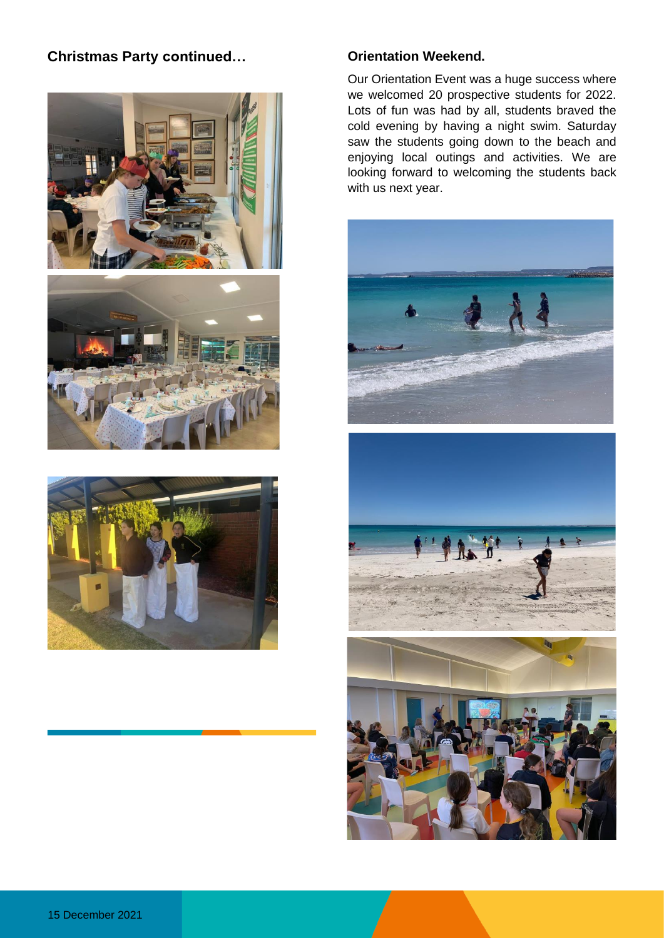#### **Christmas Party continued… Orientation Weekend.**







Our Orientation Event was a huge success where we welcomed 20 prospective students for 2022. Lots of fun was had by all, students braved the cold evening by having a night swim. Saturday saw the students going down to the beach and enjoying local outings and activities. We are looking forward to welcoming the students back with us next year.





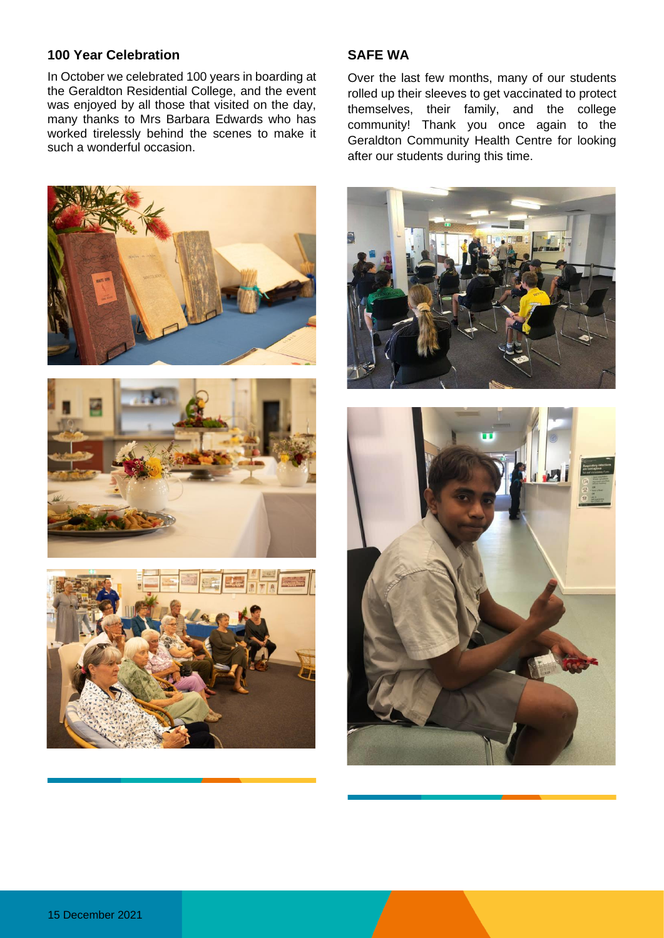#### **100 Year Celebration**

In October we celebrated 100 years in boarding at the Geraldton Residential College, and the event was enjoyed by all those that visited on the day, many thanks to Mrs Barbara Edwards who has worked tirelessly behind the scenes to make it such a wonderful occasion.



Over the last few months, many of our students rolled up their sleeves to get vaccinated to protect themselves, their family, and the college community! Thank you once again to the Geraldton Community Health Centre for looking after our students during this time.